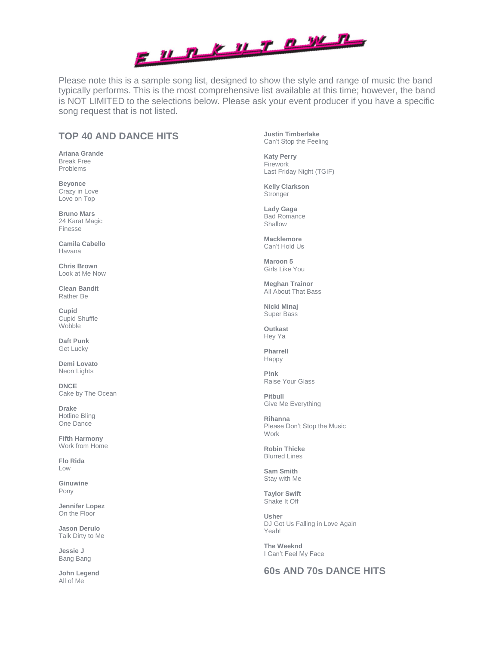

Please note this is a sample song list, designed to show the style and range of music the band typically performs. This is the most comprehensive list available at this time; however, the band is NOT LIMITED to the selections below. Please ask your event producer if you have a specific song request that is not listed.

# **TOP 40 AND DANCE HITS**

**Ariana Grande**  Break Free Problems

**Beyonce**  Crazy in Love Love on Top

**Bruno Mars** 24 Karat Magic Finesse

**Camila Cabello**  Havana

**Chris Brown**  Look at Me Now

**Clean Bandit** Rather Be

**Cupid**  Cupid Shuffle **Wobble** 

**Daft Punk** Get Lucky

**Demi Lovato** Neon Lights

**DNCE** Cake by The Ocean

**Drake** Hotline Bling One Dance

**Fifth Harmony** Work from Home

**Flo Rida**  Low

**Ginuwine** Pony

**Jennifer Lopez** On the Floor

**Jason Derulo** Talk Dirty to Me

**Jessie J** Bang Bang

**John Legend** All of Me

**Justin Timberlake** Can't Stop the Feeling

**Katy Perry**  Firework Last Friday Night (TGIF)

**Kelly Clarkson Stronger** 

**Lady Gaga** Bad Romance Shallow

**Macklemore** Can't Hold Us

**Maroon 5** Girls Like You

**Meghan Trainor** All About That Bass

**Nicki Minaj** Super Bass

**Outkast** Hey Ya

**Pharrell** Happy

**P!nk**  Raise Your Glass

**Pitbull**  Give Me Everything

**Rihanna**  Please Don't Stop the Music Work

**Robin Thicke** Blurred Lines

**Sam Smith**  Stay with Me

**Taylor Swift**  Shake It Off

**Usher** DJ Got Us Falling in Love Again Yeah!

**The Weeknd** I Can't Feel My Face

## **60s AND 70s DANCE HITS**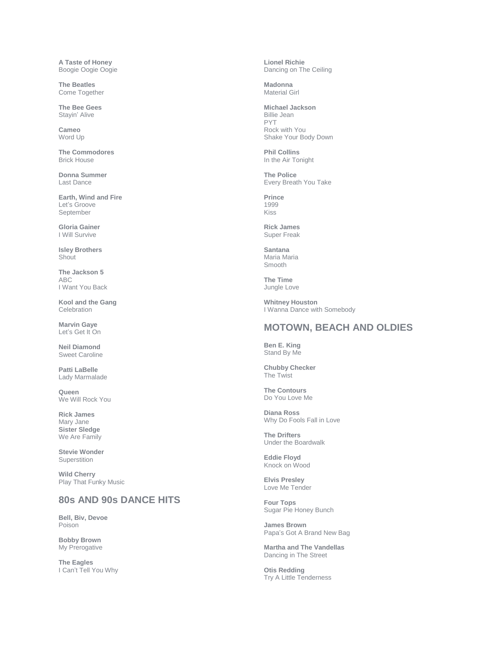**A Taste of Honey**  Boogie Oogie Oogie

**The Beatles** Come Together

**The Bee Gees** Stayin' Alive

**Cameo** Word Up

**The Commodores** Brick House

**Donna Summer** Last Dance

**Earth, Wind and Fire** Let's Groove September

**Gloria Gainer** I Will Survive

**Isley Brothers Shout** 

**The Jackson 5** ABC I Want You Back

**Kool and the Gang** Celebration

**Marvin Gaye** Let's Get It On

**Neil Diamond** Sweet Caroline

**Patti LaBelle** Lady Marmalade

**Queen** We Will Rock You

**Rick James** Mary Jane **Sister Sledge**  We Are Family

**Stevie Wonder Superstition** 

**Wild Cherry**  Play That Funky Music

#### **80s AND 90s DANCE HITS**

**Bell, Biv, Devoe** Poison

**Bobby Brown**  My Prerogative

**The Eagles**  I Can't Tell You Why **Lionel Richie** Dancing on The Ceiling

**Madonna**  Material Girl

**Michael Jackson** Billie Jean PYT Rock with You Shake Your Body Down

**Phil Collins** In the Air Tonight

**The Police** Every Breath You Take

**Prince** 1999 Kiss

**Rick James**  Super Freak

**Santana**  Maria Maria Smooth

**The Time** Jungle Love

**Whitney Houston** I Wanna Dance with Somebody

#### **MOTOWN, BEACH AND OLDIES**

**Ben E. King**  Stand By Me

**Chubby Checker**  The Twist

**The Contours**  Do You Love Me

**Diana Ross** Why Do Fools Fall in Love

**The Drifters**  Under the Boardwalk

**Eddie Floyd** Knock on Wood

**Elvis Presley** Love Me Tender

**Four Tops** Sugar Pie Honey Bunch

**James Brown**  Papa's Got A Brand New Bag

**Martha and The Vandellas** Dancing in The Street

**Otis Redding**  Try A Little Tenderness